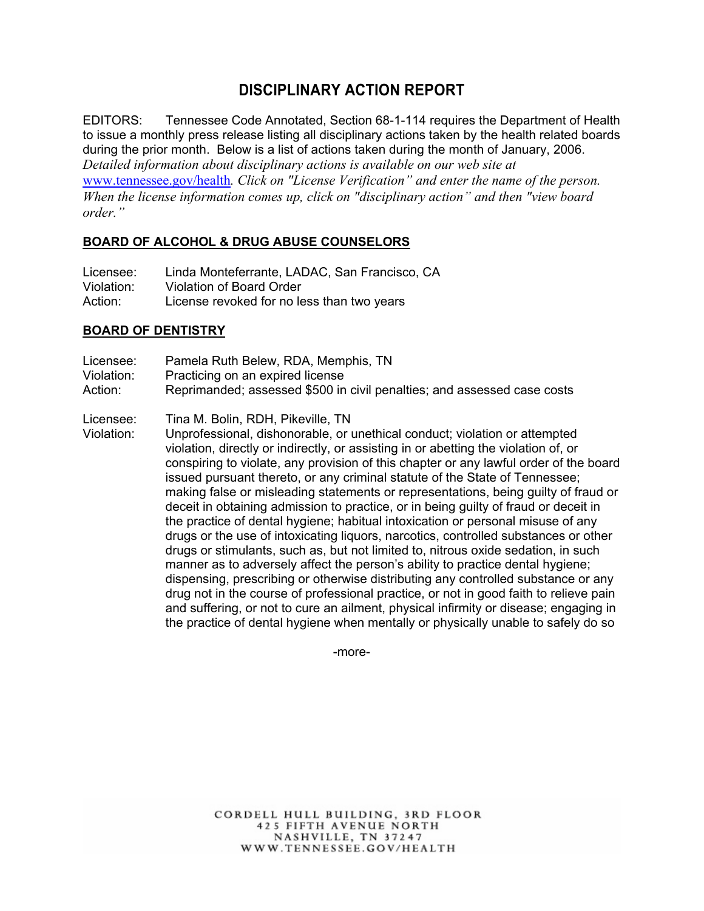# **DISCIPLINARY ACTION REPORT**

EDITORS: Tennessee Code Annotated, Section 68-1-114 requires the Department of Health to issue a monthly press release listing all disciplinary actions taken by the health related boards during the prior month. Below is a list of actions taken during the month of January, 2006. *Detailed information about disciplinary actions is available on our web site at*  www.tennessee.gov/health*. Click on "License Verification" and enter the name of the person. When the license information comes up, click on "disciplinary action" and then "view board order."* 

#### **BOARD OF ALCOHOL & DRUG ABUSE COUNSELORS**

| Licensee:  | Linda Monteferrante, LADAC, San Francisco, CA |
|------------|-----------------------------------------------|
| Violation: | Violation of Board Order                      |
| Action:    | License revoked for no less than two years    |

#### **BOARD OF DENTISTRY**

- Licensee: Pamela Ruth Belew, RDA, Memphis, TN
- Violation: Practicing on an expired license
- Action: Reprimanded; assessed \$500 in civil penalties; and assessed case costs
- Licensee: Tina M. Bolin, RDH, Pikeville, TN
- Violation: Unprofessional, dishonorable, or unethical conduct; violation or attempted violation, directly or indirectly, or assisting in or abetting the violation of, or conspiring to violate, any provision of this chapter or any lawful order of the board issued pursuant thereto, or any criminal statute of the State of Tennessee; making false or misleading statements or representations, being guilty of fraud or deceit in obtaining admission to practice, or in being guilty of fraud or deceit in the practice of dental hygiene; habitual intoxication or personal misuse of any drugs or the use of intoxicating liquors, narcotics, controlled substances or other drugs or stimulants, such as, but not limited to, nitrous oxide sedation, in such manner as to adversely affect the person's ability to practice dental hygiene; dispensing, prescribing or otherwise distributing any controlled substance or any drug not in the course of professional practice, or not in good faith to relieve pain and suffering, or not to cure an ailment, physical infirmity or disease; engaging in the practice of dental hygiene when mentally or physically unable to safely do so

-more-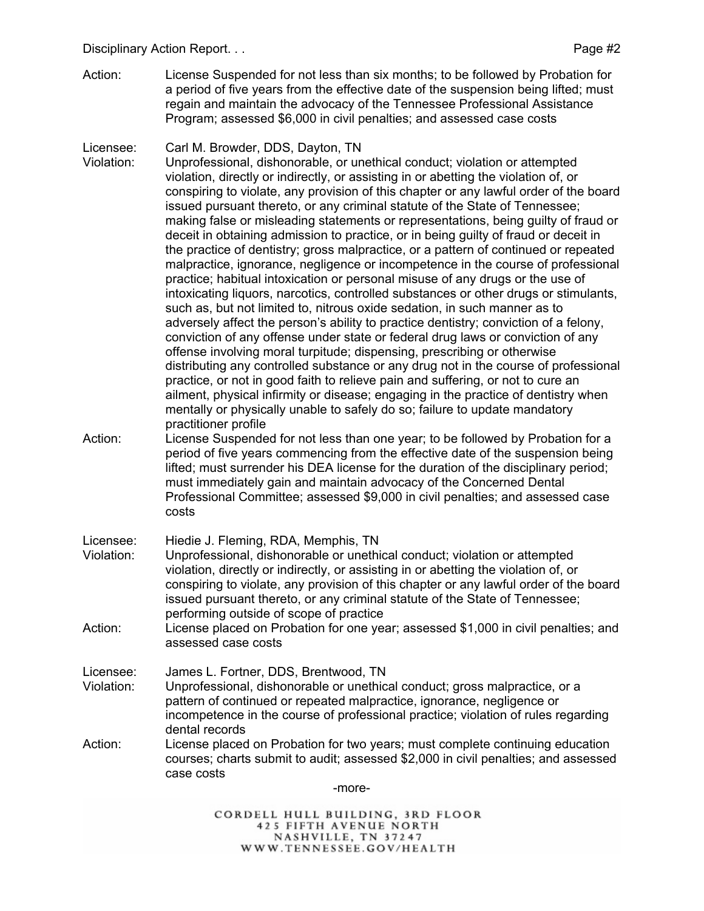Action: License Suspended for not less than six months; to be followed by Probation for a period of five years from the effective date of the suspension being lifted; must regain and maintain the advocacy of the Tennessee Professional Assistance Program; assessed \$6,000 in civil penalties; and assessed case costs

# Licensee: Carl M. Browder, DDS, Dayton, TN<br>Violation: Unprofessional. dishonorable, or un

- Unprofessional, dishonorable, or unethical conduct; violation or attempted violation, directly or indirectly, or assisting in or abetting the violation of, or conspiring to violate, any provision of this chapter or any lawful order of the board issued pursuant thereto, or any criminal statute of the State of Tennessee; making false or misleading statements or representations, being guilty of fraud or deceit in obtaining admission to practice, or in being guilty of fraud or deceit in the practice of dentistry; gross malpractice, or a pattern of continued or repeated malpractice, ignorance, negligence or incompetence in the course of professional practice; habitual intoxication or personal misuse of any drugs or the use of intoxicating liquors, narcotics, controlled substances or other drugs or stimulants, such as, but not limited to, nitrous oxide sedation, in such manner as to adversely affect the person's ability to practice dentistry; conviction of a felony, conviction of any offense under state or federal drug laws or conviction of any offense involving moral turpitude; dispensing, prescribing or otherwise distributing any controlled substance or any drug not in the course of professional practice, or not in good faith to relieve pain and suffering, or not to cure an ailment, physical infirmity or disease; engaging in the practice of dentistry when mentally or physically unable to safely do so; failure to update mandatory practitioner profile
- Action: License Suspended for not less than one year; to be followed by Probation for a period of five years commencing from the effective date of the suspension being lifted; must surrender his DEA license for the duration of the disciplinary period; must immediately gain and maintain advocacy of the Concerned Dental Professional Committee; assessed \$9,000 in civil penalties; and assessed case costs

#### Licensee: Hiedie J. Fleming, RDA, Memphis, TN

- Violation: Unprofessional, dishonorable or unethical conduct; violation or attempted violation, directly or indirectly, or assisting in or abetting the violation of, or conspiring to violate, any provision of this chapter or any lawful order of the board issued pursuant thereto, or any criminal statute of the State of Tennessee; performing outside of scope of practice
- Action: License placed on Probation for one year; assessed \$1,000 in civil penalties; and assessed case costs

# Licensee: James L. Fortner, DDS, Brentwood, TN

- Violation: Unprofessional, dishonorable or unethical conduct; gross malpractice, or a pattern of continued or repeated malpractice, ignorance, negligence or incompetence in the course of professional practice; violation of rules regarding dental records
- Action: License placed on Probation for two years; must complete continuing education courses; charts submit to audit; assessed \$2,000 in civil penalties; and assessed case costs

-more-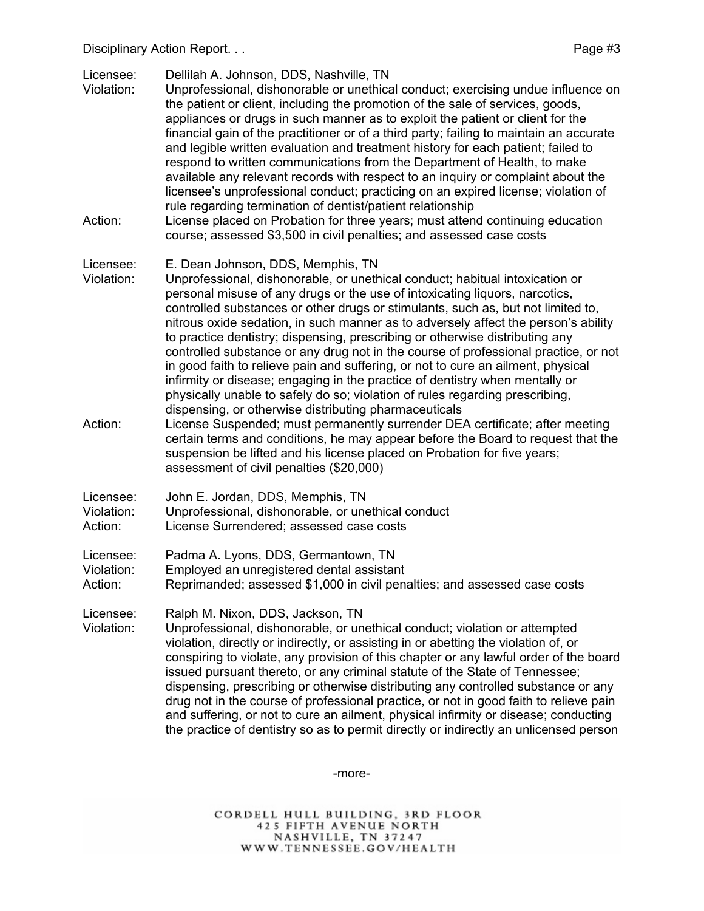Disciplinary Action Report. . . Page #3

Licensee: Dellilah A. Johnson, DDS, Nashville, TN

- Violation: Unprofessional, dishonorable or unethical conduct; exercising undue influence on the patient or client, including the promotion of the sale of services, goods, appliances or drugs in such manner as to exploit the patient or client for the financial gain of the practitioner or of a third party; failing to maintain an accurate and legible written evaluation and treatment history for each patient; failed to respond to written communications from the Department of Health, to make available any relevant records with respect to an inquiry or complaint about the licensee's unprofessional conduct; practicing on an expired license; violation of rule regarding termination of dentist/patient relationship
- Action: License placed on Probation for three years; must attend continuing education course; assessed \$3,500 in civil penalties; and assessed case costs

#### Licensee: E. Dean Johnson, DDS, Memphis, TN

- Violation: Unprofessional, dishonorable, or unethical conduct; habitual intoxication or personal misuse of any drugs or the use of intoxicating liquors, narcotics, controlled substances or other drugs or stimulants, such as, but not limited to, nitrous oxide sedation, in such manner as to adversely affect the person's ability to practice dentistry; dispensing, prescribing or otherwise distributing any controlled substance or any drug not in the course of professional practice, or not in good faith to relieve pain and suffering, or not to cure an ailment, physical infirmity or disease; engaging in the practice of dentistry when mentally or physically unable to safely do so; violation of rules regarding prescribing, dispensing, or otherwise distributing pharmaceuticals
- Action: License Suspended; must permanently surrender DEA certificate; after meeting certain terms and conditions, he may appear before the Board to request that the suspension be lifted and his license placed on Probation for five years; assessment of civil penalties (\$20,000)

| Licensee:  | John E. Jordan, DDS, Memphis, TN                   |
|------------|----------------------------------------------------|
| Violation: | Unprofessional, dishonorable, or unethical conduct |
| Action:    | License Surrendered; assessed case costs           |

Licensee: Padma A. Lyons, DDS, Germantown, TN

Violation: Employed an unregistered dental assistant

Action: Reprimanded; assessed \$1,000 in civil penalties; and assessed case costs

Licensee: Ralph M. Nixon, DDS, Jackson, TN

Violation: Unprofessional, dishonorable, or unethical conduct; violation or attempted violation, directly or indirectly, or assisting in or abetting the violation of, or conspiring to violate, any provision of this chapter or any lawful order of the board issued pursuant thereto, or any criminal statute of the State of Tennessee; dispensing, prescribing or otherwise distributing any controlled substance or any drug not in the course of professional practice, or not in good faith to relieve pain and suffering, or not to cure an ailment, physical infirmity or disease; conducting the practice of dentistry so as to permit directly or indirectly an unlicensed person

-more-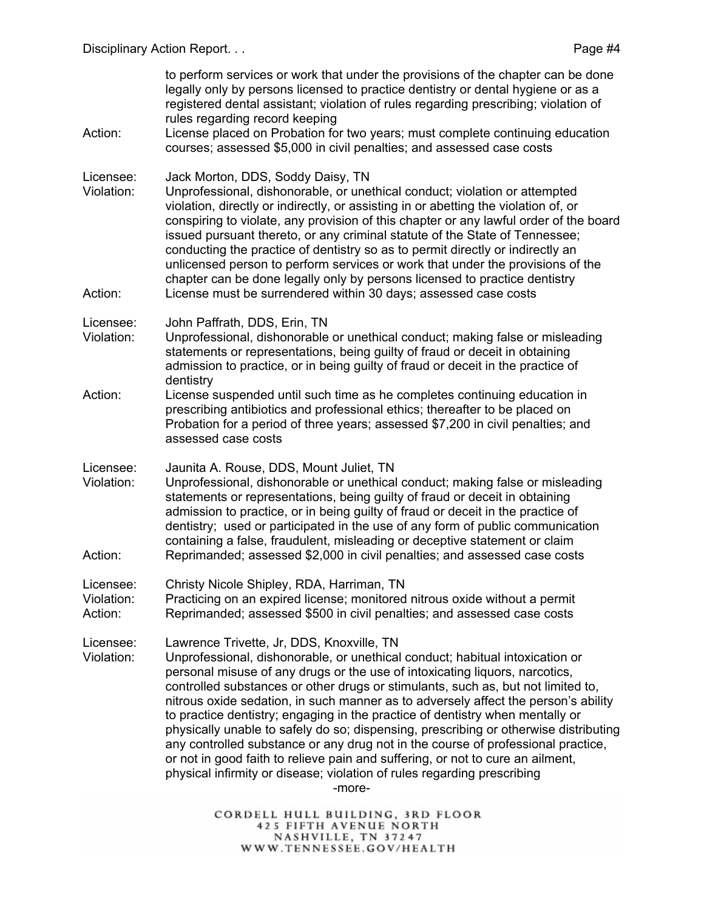to perform services or work that under the provisions of the chapter can be done legally only by persons licensed to practice dentistry or dental hygiene or as a registered dental assistant; violation of rules regarding prescribing; violation of rules regarding record keeping Action: License placed on Probation for two years; must complete continuing education courses; assessed \$5,000 in civil penalties; and assessed case costs Licensee: Jack Morton, DDS, Soddy Daisy, TN Violation: Unprofessional, dishonorable, or unethical conduct; violation or attempted violation, directly or indirectly, or assisting in or abetting the violation of, or conspiring to violate, any provision of this chapter or any lawful order of the board issued pursuant thereto, or any criminal statute of the State of Tennessee; conducting the practice of dentistry so as to permit directly or indirectly an unlicensed person to perform services or work that under the provisions of the chapter can be done legally only by persons licensed to practice dentistry Action: License must be surrendered within 30 days; assessed case costs Licensee: John Paffrath, DDS, Erin, TN Violation: Unprofessional, dishonorable or unethical conduct; making false or misleading statements or representations, being guilty of fraud or deceit in obtaining admission to practice, or in being guilty of fraud or deceit in the practice of dentistry Action: License suspended until such time as he completes continuing education in prescribing antibiotics and professional ethics; thereafter to be placed on Probation for a period of three years; assessed \$7,200 in civil penalties; and assessed case costs Licensee: Jaunita A. Rouse, DDS, Mount Juliet, TN Violation: Unprofessional, dishonorable or unethical conduct; making false or misleading statements or representations, being guilty of fraud or deceit in obtaining admission to practice, or in being guilty of fraud or deceit in the practice of dentistry; used or participated in the use of any form of public communication containing a false, fraudulent, misleading or deceptive statement or claim Action: Reprimanded; assessed \$2,000 in civil penalties; and assessed case costs Licensee: Christy Nicole Shipley, RDA, Harriman, TN Violation: Practicing on an expired license; monitored nitrous oxide without a permit Action: Reprimanded; assessed \$500 in civil penalties; and assessed case costs Licensee: Lawrence Trivette, Jr, DDS, Knoxville, TN Violation: Unprofessional, dishonorable, or unethical conduct; habitual intoxication or personal misuse of any drugs or the use of intoxicating liquors, narcotics, controlled substances or other drugs or stimulants, such as, but not limited to, nitrous oxide sedation, in such manner as to adversely affect the person's ability to practice dentistry; engaging in the practice of dentistry when mentally or physically unable to safely do so; dispensing, prescribing or otherwise distributing any controlled substance or any drug not in the course of professional practice, or not in good faith to relieve pain and suffering, or not to cure an ailment, physical infirmity or disease; violation of rules regarding prescribing -more-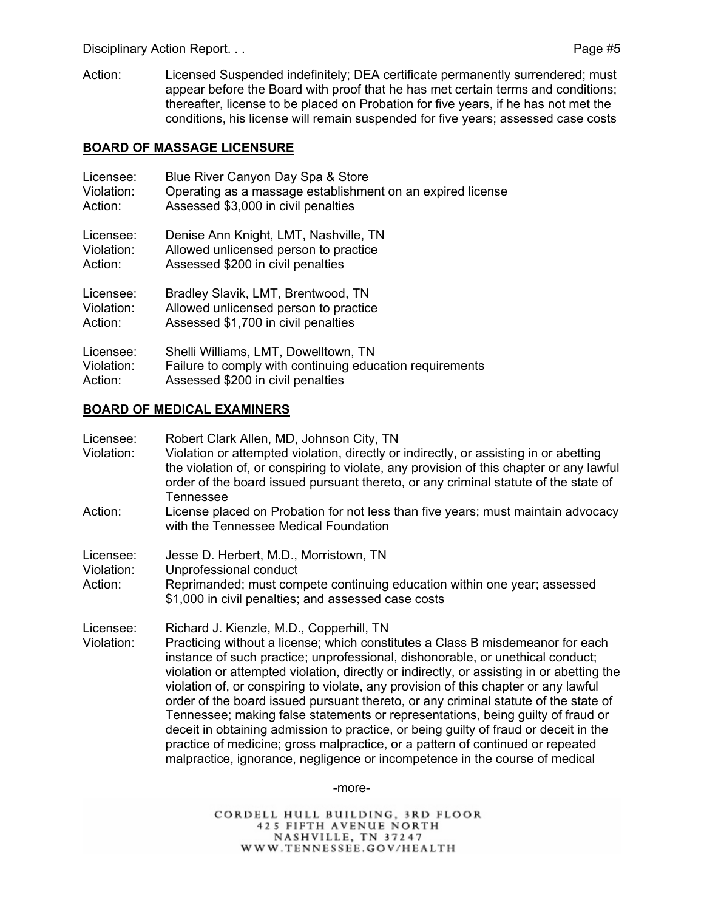Disciplinary Action Report. . . **Page #5** 

Action: Licensed Suspended indefinitely; DEA certificate permanently surrendered; must appear before the Board with proof that he has met certain terms and conditions; thereafter, license to be placed on Probation for five years, if he has not met the conditions, his license will remain suspended for five years; assessed case costs

#### **BOARD OF MASSAGE LICENSURE**

| Licensee:  | Blue River Canyon Day Spa & Store                          |
|------------|------------------------------------------------------------|
| Violation: | Operating as a massage establishment on an expired license |
| Action:    | Assessed \$3,000 in civil penalties                        |
| Licensee:  | Denise Ann Knight, LMT, Nashville, TN                      |
| Violation: | Allowed unlicensed person to practice                      |
| Action:    | Assessed \$200 in civil penalties                          |
| Licensee:  | Bradley Slavik, LMT, Brentwood, TN                         |
| Violation: | Allowed unlicensed person to practice                      |
| Action:    | Assessed \$1,700 in civil penalties                        |
| Licensee:  | Shelli Williams, LMT, Dowelltown, TN                       |
| Violation: | Failure to comply with continuing education requirements   |
| Action:    | Assessed \$200 in civil penalties                          |

# **BOARD OF MEDICAL EXAMINERS**

| Licensee:<br>Violation:            | Robert Clark Allen, MD, Johnson City, TN<br>Violation or attempted violation, directly or indirectly, or assisting in or abetting<br>the violation of, or conspiring to violate, any provision of this chapter or any lawful<br>order of the board issued pursuant thereto, or any criminal statute of the state of<br><b>Tennessee</b>                                                                                                                                                                                                                                                                                                                                                                                                                                                                                             |
|------------------------------------|-------------------------------------------------------------------------------------------------------------------------------------------------------------------------------------------------------------------------------------------------------------------------------------------------------------------------------------------------------------------------------------------------------------------------------------------------------------------------------------------------------------------------------------------------------------------------------------------------------------------------------------------------------------------------------------------------------------------------------------------------------------------------------------------------------------------------------------|
| Action:                            | License placed on Probation for not less than five years; must maintain advocacy<br>with the Tennessee Medical Foundation                                                                                                                                                                                                                                                                                                                                                                                                                                                                                                                                                                                                                                                                                                           |
| Licensee:<br>Violation:<br>Action: | Jesse D. Herbert, M.D., Morristown, TN<br>Unprofessional conduct<br>Reprimanded; must compete continuing education within one year; assessed<br>\$1,000 in civil penalties; and assessed case costs                                                                                                                                                                                                                                                                                                                                                                                                                                                                                                                                                                                                                                 |
| Licensee:<br>Violation:            | Richard J. Kienzle, M.D., Copperhill, TN<br>Practicing without a license; which constitutes a Class B misdemeanor for each<br>instance of such practice; unprofessional, dishonorable, or unethical conduct;<br>violation or attempted violation, directly or indirectly, or assisting in or abetting the<br>violation of, or conspiring to violate, any provision of this chapter or any lawful<br>order of the board issued pursuant thereto, or any criminal statute of the state of<br>Tennessee; making false statements or representations, being guilty of fraud or<br>deceit in obtaining admission to practice, or being guilty of fraud or deceit in the<br>practice of medicine; gross malpractice, or a pattern of continued or repeated<br>malpractice, ignorance, negligence or incompetence in the course of medical |

-more-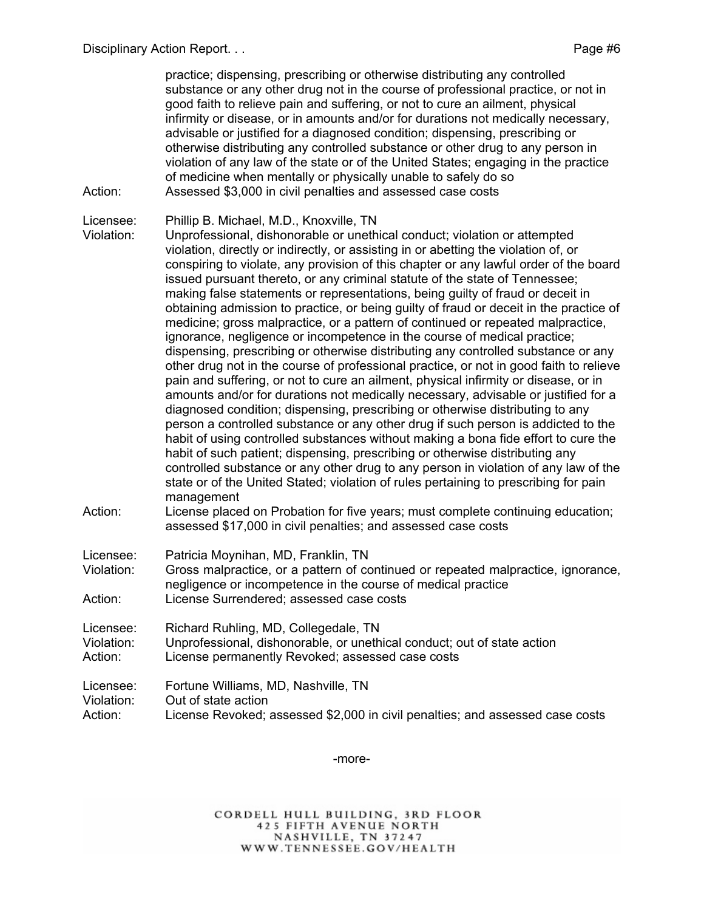practice; dispensing, prescribing or otherwise distributing any controlled substance or any other drug not in the course of professional practice, or not in good faith to relieve pain and suffering, or not to cure an ailment, physical infirmity or disease, or in amounts and/or for durations not medically necessary, advisable or justified for a diagnosed condition; dispensing, prescribing or otherwise distributing any controlled substance or other drug to any person in violation of any law of the state or of the United States; engaging in the practice of medicine when mentally or physically unable to safely do so Action: Assessed \$3,000 in civil penalties and assessed case costs

Licensee: Phillip B. Michael, M.D., Knoxville, TN

Violation: Unprofessional, dishonorable or unethical conduct; violation or attempted violation, directly or indirectly, or assisting in or abetting the violation of, or conspiring to violate, any provision of this chapter or any lawful order of the board issued pursuant thereto, or any criminal statute of the state of Tennessee; making false statements or representations, being guilty of fraud or deceit in obtaining admission to practice, or being guilty of fraud or deceit in the practice of medicine; gross malpractice, or a pattern of continued or repeated malpractice, ignorance, negligence or incompetence in the course of medical practice; dispensing, prescribing or otherwise distributing any controlled substance or any other drug not in the course of professional practice, or not in good faith to relieve pain and suffering, or not to cure an ailment, physical infirmity or disease, or in amounts and/or for durations not medically necessary, advisable or justified for a diagnosed condition; dispensing, prescribing or otherwise distributing to any person a controlled substance or any other drug if such person is addicted to the habit of using controlled substances without making a bona fide effort to cure the habit of such patient; dispensing, prescribing or otherwise distributing any controlled substance or any other drug to any person in violation of any law of the state or of the United Stated; violation of rules pertaining to prescribing for pain management

Action: License placed on Probation for five years; must complete continuing education; assessed \$17,000 in civil penalties; and assessed case costs

Licensee: Patricia Moynihan, MD, Franklin, TN

Violation: Gross malpractice, or a pattern of continued or repeated malpractice, ignorance, negligence or incompetence in the course of medical practice Action: License Surrendered; assessed case costs

| Licensee:  | Richard Ruhling, MD, Collegedale, TN                                    |
|------------|-------------------------------------------------------------------------|
| Violation: | Unprofessional, dishonorable, or unethical conduct; out of state action |
| Action:    | License permanently Revoked; assessed case costs                        |

Licensee: Fortune Williams, MD, Nashville, TN Violation: Out of state action Action: License Revoked; assessed \$2,000 in civil penalties; and assessed case costs

-more-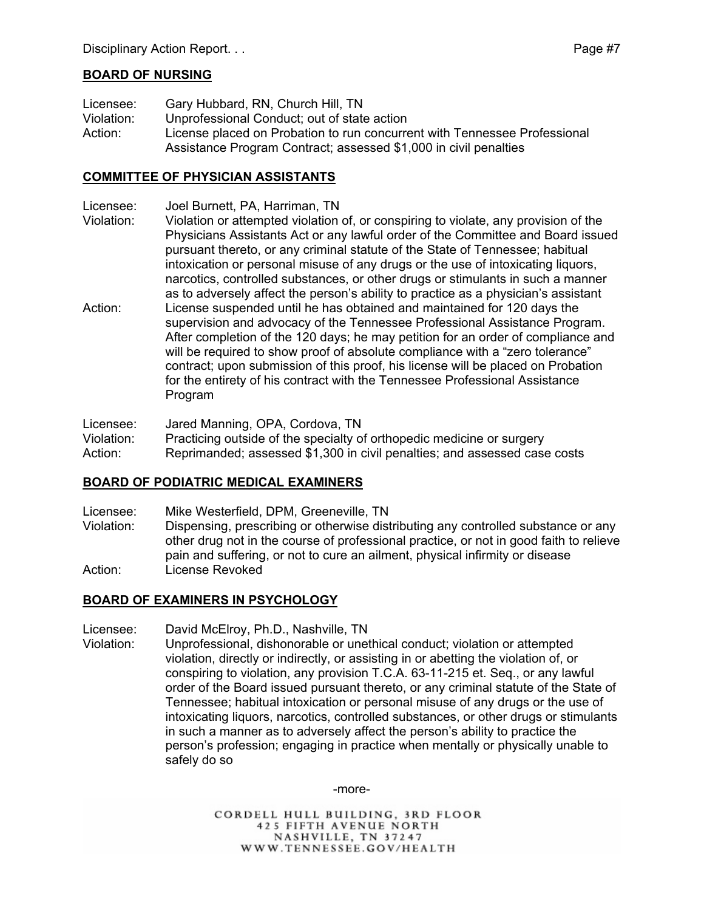## **BOARD OF NURSING**

Licensee: Gary Hubbard, RN, Church Hill, TN Violation: Unprofessional Conduct; out of state action Action: License placed on Probation to run concurrent with Tennessee Professional Assistance Program Contract; assessed \$1,000 in civil penalties

# **COMMITTEE OF PHYSICIAN ASSISTANTS**

- Licensee: Joel Burnett, PA, Harriman, TN
- Violation: Violation or attempted violation of, or conspiring to violate, any provision of the Physicians Assistants Act or any lawful order of the Committee and Board issued pursuant thereto, or any criminal statute of the State of Tennessee; habitual intoxication or personal misuse of any drugs or the use of intoxicating liquors, narcotics, controlled substances, or other drugs or stimulants in such a manner as to adversely affect the person's ability to practice as a physician's assistant
- Action: License suspended until he has obtained and maintained for 120 days the supervision and advocacy of the Tennessee Professional Assistance Program. After completion of the 120 days; he may petition for an order of compliance and will be required to show proof of absolute compliance with a "zero tolerance" contract; upon submission of this proof, his license will be placed on Probation for the entirety of his contract with the Tennessee Professional Assistance Program

Licensee: Jared Manning, OPA, Cordova, TN

Violation: Practicing outside of the specialty of orthopedic medicine or surgery

Action: Reprimanded; assessed \$1,300 in civil penalties; and assessed case costs

#### **BOARD OF PODIATRIC MEDICAL EXAMINERS**

- Licensee: Mike Westerfield, DPM, Greeneville, TN
- Violation: Dispensing, prescribing or otherwise distributing any controlled substance or any other drug not in the course of professional practice, or not in good faith to relieve pain and suffering, or not to cure an ailment, physical infirmity or disease Action: License Revoked

#### **BOARD OF EXAMINERS IN PSYCHOLOGY**

Licensee: David McElroy, Ph.D., Nashville, TN

Violation: Unprofessional, dishonorable or unethical conduct; violation or attempted violation, directly or indirectly, or assisting in or abetting the violation of, or conspiring to violation, any provision T.C.A. 63-11-215 et. Seq., or any lawful order of the Board issued pursuant thereto, or any criminal statute of the State of Tennessee; habitual intoxication or personal misuse of any drugs or the use of intoxicating liquors, narcotics, controlled substances, or other drugs or stimulants in such a manner as to adversely affect the person's ability to practice the person's profession; engaging in practice when mentally or physically unable to safely do so

-more-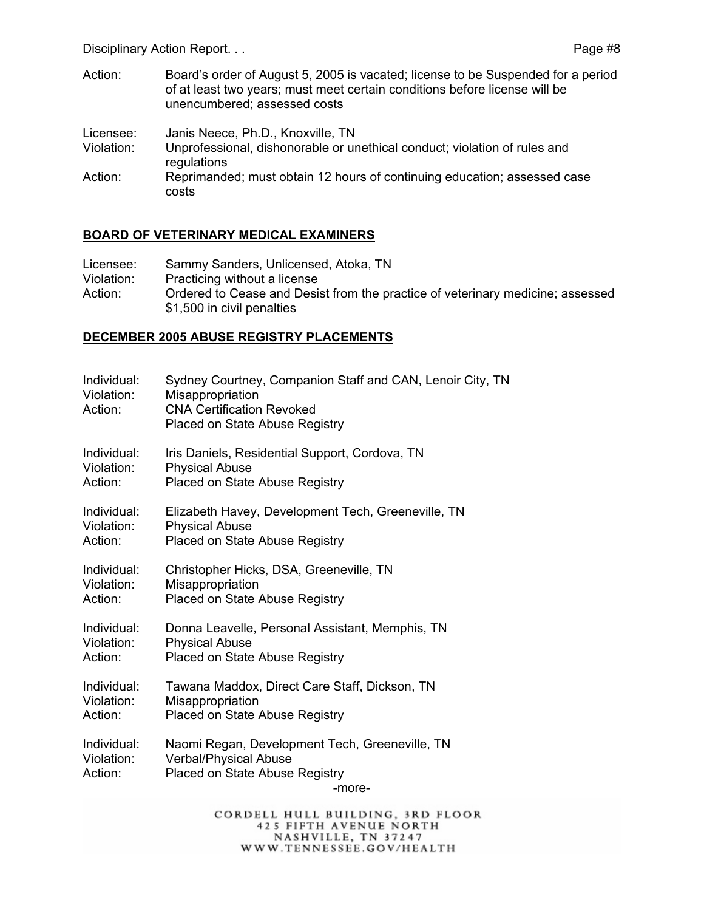Disciplinary Action Report. . . The contract of the contract of the Page #8

Action: Board's order of August 5, 2005 is vacated; license to be Suspended for a period of at least two years; must meet certain conditions before license will be unencumbered; assessed costs

| Licensee:  | Janis Neece, Ph.D., Knoxville, TN                                                        |
|------------|------------------------------------------------------------------------------------------|
| Violation: | Unprofessional, dishonorable or unethical conduct; violation of rules and<br>regulations |
| Action:    | Reprimanded; must obtain 12 hours of continuing education; assessed case<br>costs        |

#### **BOARD OF VETERINARY MEDICAL EXAMINERS**

| Licensee:  | Sammy Sanders, Unlicensed, Atoka, TN                                                                         |
|------------|--------------------------------------------------------------------------------------------------------------|
| Violation: | Practicing without a license                                                                                 |
| Action:    | Ordered to Cease and Desist from the practice of veterinary medicine; assessed<br>\$1,500 in civil penalties |

#### **DECEMBER 2005 ABUSE REGISTRY PLACEMENTS**

| Individual:<br>Violation:<br>Action: | Sydney Courtney, Companion Staff and CAN, Lenoir City, TN<br>Misappropriation<br><b>CNA Certification Revoked</b><br>Placed on State Abuse Registry |
|--------------------------------------|-----------------------------------------------------------------------------------------------------------------------------------------------------|
| Individual:                          | Iris Daniels, Residential Support, Cordova, TN                                                                                                      |
| Violation:                           | <b>Physical Abuse</b>                                                                                                                               |
| Action:                              | Placed on State Abuse Registry                                                                                                                      |
| Individual:                          | Elizabeth Havey, Development Tech, Greeneville, TN                                                                                                  |
| Violation:                           | <b>Physical Abuse</b>                                                                                                                               |
| Action:                              | Placed on State Abuse Registry                                                                                                                      |
| Individual:                          | Christopher Hicks, DSA, Greeneville, TN                                                                                                             |
| Violation:                           | Misappropriation                                                                                                                                    |
| Action:                              | Placed on State Abuse Registry                                                                                                                      |
| Individual:                          | Donna Leavelle, Personal Assistant, Memphis, TN                                                                                                     |
| Violation:                           | <b>Physical Abuse</b>                                                                                                                               |
| Action:                              | Placed on State Abuse Registry                                                                                                                      |
| Individual:                          | Tawana Maddox, Direct Care Staff, Dickson, TN                                                                                                       |
| Violation:                           | Misappropriation                                                                                                                                    |
| Action:                              | Placed on State Abuse Registry                                                                                                                      |
| Individual:<br>Violation:<br>Action: | Naomi Regan, Development Tech, Greeneville, TN<br>Verbal/Physical Abuse<br>Placed on State Abuse Registry<br>-more-                                 |
|                                      |                                                                                                                                                     |